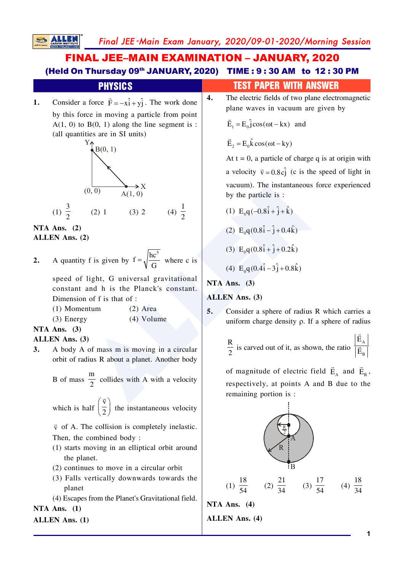Final JEE-Main Exam January, 2020/09-01-2020/Morning Session

## **FINAL JEE-MAIN EXAMINATION - JANUARY, 2020** (Held On Thursday 09th JANUARY, 2020) TIME: 9:30 AM to 12:30 PM



#### NTA Ans.  $(2)$ ALLEN Ans. (2)

**SALLE** 

A quantity f is given by  $f = \sqrt{\frac{hc^5}{G}}$  where c is  $2.$ 

> speed of light, G universal gravitational constant and h is the Planck's constant. Dimension of f is that of :

 $(1)$  Momentum  $(2)$  Area  $(3)$  Energy  $(4)$  Volume

### NTA Ans.  $(3)$

#### **ALLEN** Ans. (3)

A body A of mass m is moving in a circular  $3.$ orbit of radius R about a planet. Another body

B of mass  $\frac{m}{2}$  collides with A with a velocity

which is half  $\left(\frac{\vec{v}}{2}\right)$  the instantaneous velocity

 $\vec{v}$  of A. The collision is completely inelastic. Then, the combined body:

- (1) starts moving in an elliptical orbit around the planet.
- (2) continues to move in a circular orbit
- (3) Falls vertically downwards towards the planet
- (4) Escapes from the Planet's Gravitational field. NTA Ans.  $(1)$

# **ALLEN Ans.** (1)

## **TEST PAPER WITH ANSWER**

 $\overline{4}$ . The electric fields of two plane electromagnetic plane waves in vacuum are given by

 $\vec{E}_1 = E_0 \hat{j} \cos(\omega t - kx)$  and

 $\vec{E}_2 = E_0 \hat{k} \cos(\omega t - ky)$ 

At  $t = 0$ , a particle of charge q is at origin with a velocity  $\vec{v} = 0.8c\hat{j}$  (c is the speed of light in vacuum). The instantaneous force experienced by the particle is:

(1)  $E_0q(-0.8\hat{i} + \hat{j} + \hat{k})$ (2)  $E_0 q(0.8\hat{i} - \hat{i} + 0.4\hat{k})$ (3)  $E_0q(0.8\hat{i} + \hat{j} + 0.2\hat{k})$ 

(4) 
$$
E_0 q (0.4 \hat{i} - 3 \hat{j} + 0.8 \hat{k})
$$

NTA Ans.  $(3)$ 

#### **ALLEN** Ans. (3)

 $5.$ Consider a sphere of radius R which carries a uniform charge density  $\rho$ . If a sphere of radius

$$
\frac{R}{2}
$$
 is curved out of it, as shown, the ratio  $\frac{\left| \vec{E}_{A} \right|}{\left| \vec{E}_{B} \right|}$ 

of magnitude of electric field  $\vec{E}_a$  and  $\vec{E}_B$ , respectively, at points A and B due to the remaining portion is :



and and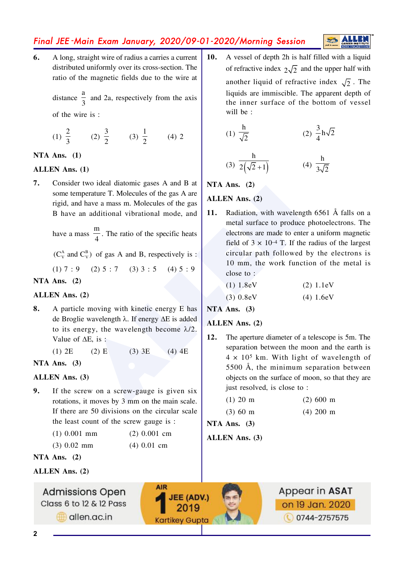## Final JEE-Main Exam January, 2020/09-01-2020/Morning Session

6. A long, straight wire of radius a carries a current distributed uniformly over its cross-section. The ratio of the magnetic fields due to the wire at

> distance  $\frac{a}{2}$  and 2a, respectively from the axis of the wire is:

(1) 
$$
\frac{2}{3}
$$
 (2)  $\frac{3}{2}$  (3)  $\frac{1}{2}$  (4) 2

#### NTA Ans.  $(1)$

#### **ALLEN Ans. (1)**

 $\overline{7}$ . Consider two ideal diatomic gases A and B at some temperature T. Molecules of the gas A are rigid, and have a mass m. Molecules of the gas B have an additional vibrational mode, and

have a mass  $\frac{m}{4}$ . The ratio of the specific heats

 $(C_v^A$  and  $C_v^B$ ) of gas A and B, respectively is :

 $(1) 7 : 9$   $(2) 5 : 7$   $(3) 3 : 5$   $(4) 5 : 9$ 

#### NTA Ans.  $(2)$

#### ALLEN Ans. (2)

8. A particle moving with kinetic energy E has de Broglie wavelength  $\lambda$ . If energy  $\Delta E$  is added to its energy, the wavelength become  $\lambda/2$ . Value of  $\Delta E$ , is:

> $(1)$  2E  $(2)$  E  $(3)$  3E  $(4)$  4E

NTA Ans.  $(3)$ 

#### ALLEN Ans. (3)

 $9<sub>1</sub>$ If the screw on a screw-gauge is given six rotations, it moves by 3 mm on the main scale. If there are 50 divisions on the circular scale the least count of the screw gauge is :

| $(1)$ 0.001 mm |  | $(2)$ 0.001 cm |  |
|----------------|--|----------------|--|
|                |  |                |  |

 $(3) 0.02$  mm  $(4) 0.01$  cm

NTA Ans.  $(2)$ 

#### ALLEN Ans. (2)



A vessel of depth 2h is half filled with a liquid  $10.$ of refractive index  $2\sqrt{2}$  and the upper half with another liquid of refractive index  $\sqrt{2}$ . The liquids are immiscible. The apparent depth of the inner surface of the bottom of vessel will be:

**ALLE** 

(1) 
$$
\frac{h}{\sqrt{2}}
$$
 (2)  $\frac{3}{4}h\sqrt{2}$   
(3)  $\frac{h}{2(\sqrt{2}+1)}$  (4)  $\frac{h}{3\sqrt{2}}$ 

NTA Ans.  $(2)$ 

#### **ALLEN Ans. (2)**

Radiation, with wavelength 6561 Å falls on a **11.** metal surface to produce photoelectrons. The electrons are made to enter a uniform magnetic field of  $3 \times 10^{-4}$  T. If the radius of the largest circular path followed by the electrons is 10 mm, the work function of the metal is close to:

| $(1) 1.8$ eV | (2) 1.1eV |
|--------------|-----------|
|              |           |

 $(3) 0.8$ eV  $(4) 1.6eV$ 

NTA Ans.  $(3)$ 

- **ALLEN Ans. (2)**
- The aperture diameter of a telescope is 5m. The 12. separation between the moon and the earth is  $4 \times 10^5$  km. With light of wavelength of 5500 Å, the minimum separation between objects on the surface of moon, so that they are just resolved, is close to:

| $(1)$ 20 m |  | $(2)$ 600 m |  |
|------------|--|-------------|--|
|------------|--|-------------|--|

 $(3) 60 m$  $(4)$  200 m

NTA Ans.  $(3)$ 

**ALLEN** Ans. (3)



 $\overline{2}$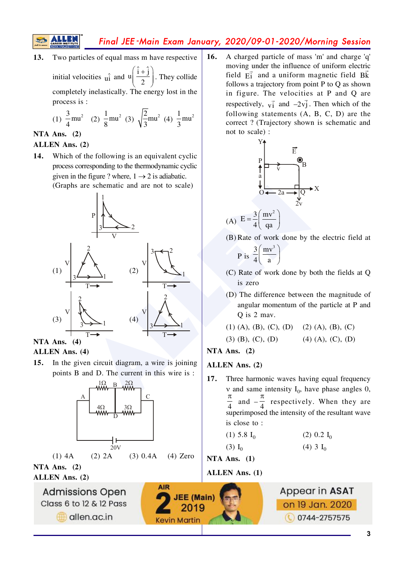多

## Final JEE-Main Exam January, 2020/09-01-2020/Morning Session

Two particles of equal mass m have respective  $13.$ 

initial velocities  $\hat{u}$  and  $u\left(\frac{\hat{i}+\hat{j}}{2}\right)$ . They collide completely inelastically. The energy lost in the process is :

(1) 
$$
\frac{3}{4}
$$
mu<sup>2</sup> (2)  $\frac{1}{8}$ mu<sup>2</sup> (3)  $\sqrt{\frac{2}{3}}$ mu<sup>2</sup> (4)  $\frac{1}{3}$ mu<sup>2</sup>

#### NTA Ans.  $(2)$

#### ALLEN Ans. (2)

 $14.$ Which of the following is an equivalent cyclic process corresponding to the thermodynamic cyclic given in the figure ? where,  $1 \rightarrow 2$  is adiabatic. (Graphs are schematic and are not to scale)



#### NTA Ans.  $(4)$ **ALLEN** Ans. (4)

 $15.$ In the given circuit diagram, a wire is joining points B and D. The current in this wire is :



allen.ac.in

16. A charged particle of mass 'm' and charge 'q' moving under the influence of uniform electric field  $\vec{F}$  and a uniform magnetic field  $\vec{B}$ follows a trajectory from point P to Q as shown in figure. The velocities at P and Q are respectively,  $v_1^2$  and  $-2v_1^2$ . Then which of the following statements (A, B, C, D) are the correct? (Trajectory shown is schematic and not to scale) :



(B) Rate of work done by the electric field at

P is 
$$
\frac{3}{4} \left( \frac{mv^3}{a} \right)
$$

- (C) Rate of work done by both the fields at Q is zero
- (D) The difference between the magnitude of angular momentum of the particle at P and Q is 2 may.

 $(3)$  (B), (C), (D)  $(4)$  (A), (C), (D)

NTA Ans.  $(2)$ 

#### **ALLEN** Ans. (2)

17. Three harmonic waves having equal frequency  $v$  and same intensity  $I_0$ , have phase angles 0, and  $-\frac{\pi}{4}$  respectively. When they are superimposed the intensity of the resultant wave is close to:

 $(4)$  3  $I_0$ 

NTA Ans.  $(1)$ 

**ALLEN Ans. (1)**